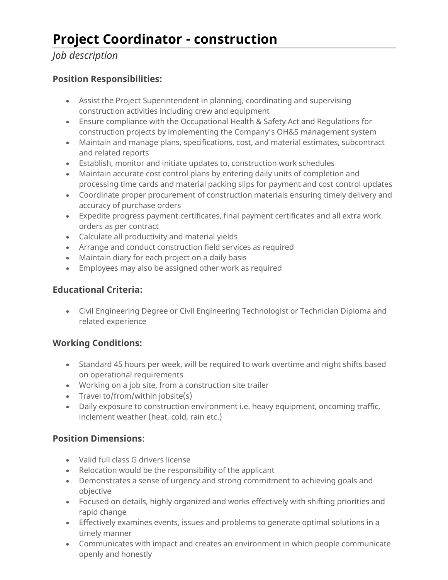# **Project Coordinator - construction**

*Job description*

## **Position Responsibilities:**

- Assist the Project Superintendent in planning, coordinating and supervising construction activities including crew and equipment
- Ensure compliance with the Occupational Health & Safety Act and Regulations for construction projects by implementing the Company's OH&S management system
- Maintain and manage plans, specifications, cost, and material estimates, subcontract and related reports
- Establish, monitor and initiate updates to, construction work schedules
- Maintain accurate cost control plans by entering daily units of completion and processing time cards and material packing slips for payment and cost control updates
- Coordinate proper procurement of construction materials ensuring timely delivery and accuracy of purchase orders
- Expedite progress payment certificates, final payment certificates and all extra work orders as per contract
- Calculate all productivity and material yields
- Arrange and conduct construction field services as required
- Maintain diary for each project on a daily basis
- Employees may also be assigned other work as required

### **Educational Criteria:**

• Civil Engineering Degree or Civil Engineering Technologist or Technician Diploma and related experience

## **Working Conditions:**

- Standard 45 hours per week, will be required to work overtime and night shifts based on operational requirements
- Working on a job site, from a construction site trailer
- Travel to/from/within jobsite(s)
- Daily exposure to construction environment i.e. heavy equipment, oncoming traffic, inclement weather (heat, cold, rain etc.)

#### **Position Dimensions**:

- Valid full class G drivers license
- Relocation would be the responsibility of the applicant
- Demonstrates a sense of urgency and strong commitment to achieving goals and objective
- Focused on details, highly organized and works effectively with shifting priorities and rapid change
- Effectively examines events, issues and problems to generate optimal solutions in a timely manner
- Communicates with impact and creates an environment in which people communicate openly and honestly